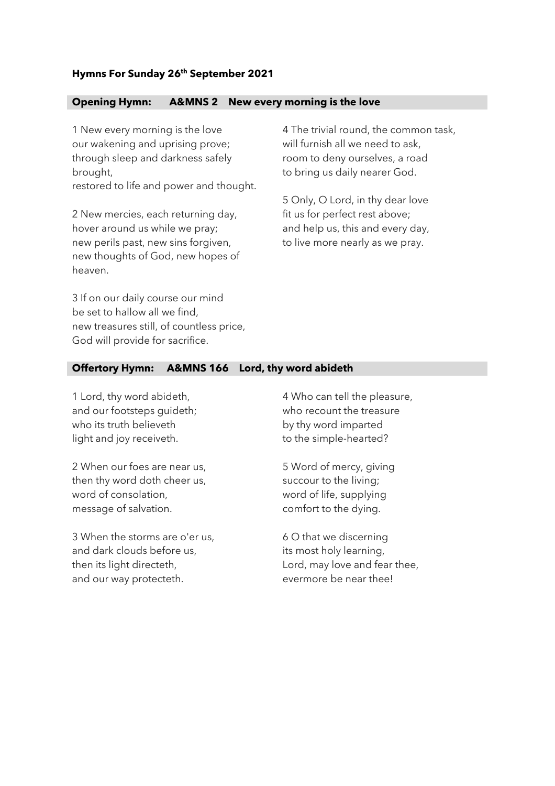## **Hymns For Sunday 26th September 2021**

## **Opening Hymn: A&MNS 2 New every morning is the love**

1 New every morning is the love our wakening and uprising prove; through sleep and darkness safely brought, restored to life and power and thought.

2 New mercies, each returning day, hover around us while we pray; new perils past, new sins forgiven, new thoughts of God, new hopes of heaven.

4 The trivial round, the common task, will furnish all we need to ask, room to deny ourselves, a road to bring us daily nearer God.

5 Only, O Lord, in thy dear love fit us for perfect rest above; and help us, this and every day, to live more nearly as we pray.

3 If on our daily course our mind be set to hallow all we find, new treasures still, of countless price, God will provide for sacrifice.

## **Offertory Hymn: A&MNS 166 Lord, thy word abideth**

1 Lord, thy word abideth, and our footsteps guideth; who its truth believeth light and joy receiveth.

2 When our foes are near us, then thy word doth cheer us, word of consolation, message of salvation.

3 When the storms are o'er us, and dark clouds before us, then its light directeth, and our way protecteth.

4 Who can tell the pleasure, who recount the treasure by thy word imparted to the simple-hearted?

5 Word of mercy, giving succour to the living; word of life, supplying comfort to the dying.

6 O that we discerning its most holy learning, Lord, may love and fear thee, evermore be near thee!